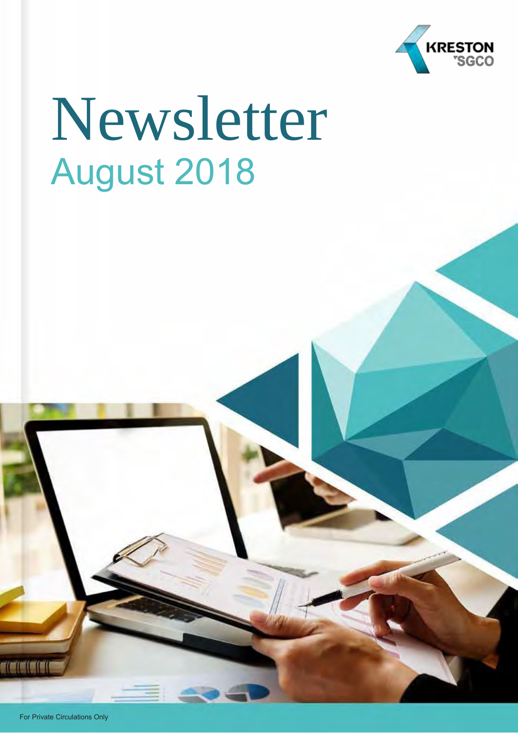

# Newsletter August 2018

**TEITT**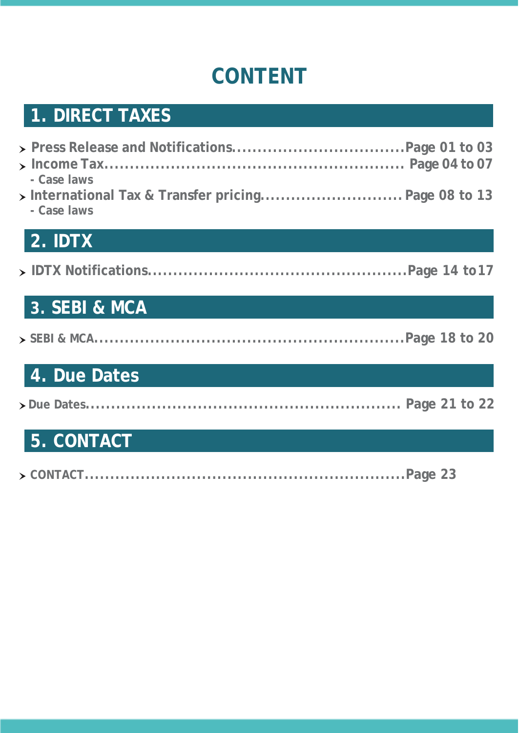### **CONTENT**

### **[1. DIRECT](#page-2-0) TAXES**

| - Case laws<br>> International Tax & Transfer pricing Page 08 to 13<br>- Case laws |  |
|------------------------------------------------------------------------------------|--|

### **2. IDTX**

|--|--|--|

### **3. SEBI & MCA**

### **4. Due Dates**

|--|--|--|--|

### **5. CONTACT**

|--|--|--|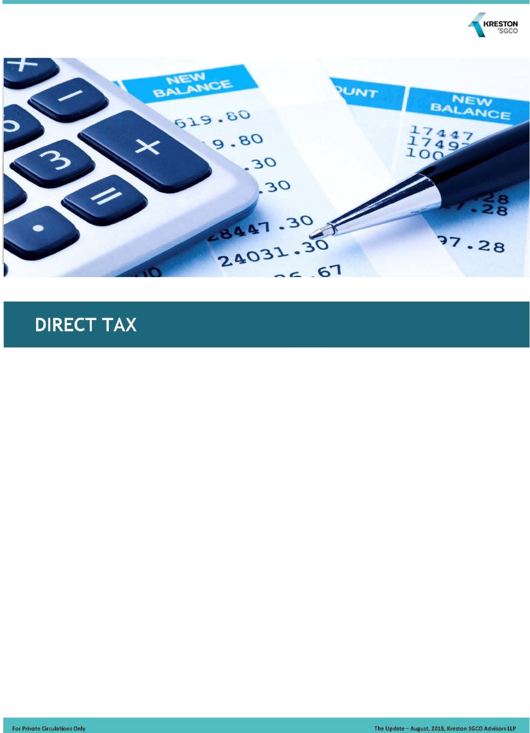

<span id="page-2-0"></span>

### **DIRECT TAX**

**For Private Circulations Only** 

The Update - August, 2018, Kreston SGCO Advisors LLP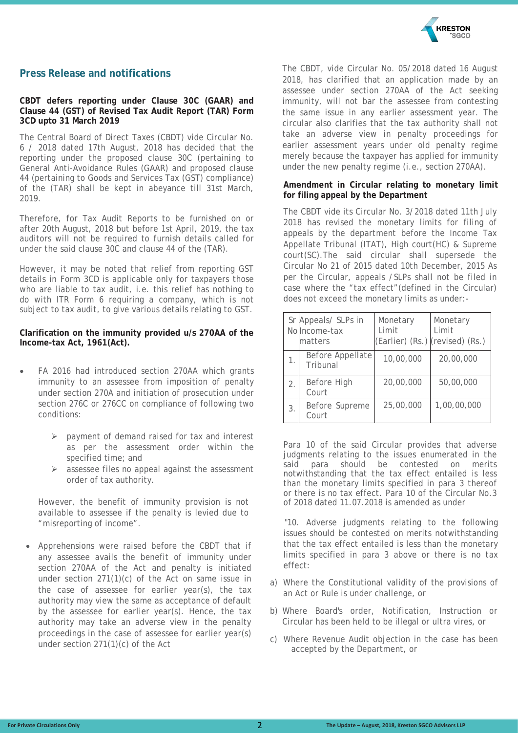

#### **Press Release and notifications**

#### **CBDT defers reporting under Clause 30C (GAAR) and Clause 44 (GST) of Revised Tax Audit Report (TAR) Form 3CD upto 31 March 2019**

The Central Board of Direct Taxes (CBDT) vide Circular No. 6 / 2018 dated 17th August, 2018 has decided that the reporting under the proposed clause 30C (pertaining to General Anti-Avoidance Rules (GAAR) and proposed clause 44 (pertaining to Goods and Services Tax (GST) compliance) of the (TAR) shall be kept in abeyance till 31st March, 2019.

Therefore, for Tax Audit Reports to be furnished on or after 20th August, 2018 but before 1st April, 2019, the tax auditors will not be required to furnish details called for under the said clause 30C and clause 44 of the (TAR).

However, it may be noted that relief from reporting GST details in Form 3CD is applicable only for taxpayers those who are liable to tax audit, i.e. this relief has nothing to do with ITR Form 6 requiring a company, which is not subject to tax audit, to give various details relating to GST.

#### **Clarification on the immunity provided u/s 270AA of the Income-tax Act, 1961(Act).**

- FA 2016 had introduced section 270AA which grants immunity to an assessee from imposition of penalty under section 270A and initiation of prosecution under section 276C or 276CC on compliance of following two conditions:
	- $\triangleright$  payment of demand raised for tax and interest as per the assessment order within the specified time; and
	- $\triangleright$  assessee files no appeal against the assessment order of tax authority.

However, the benefit of immunity provision is not available to assessee if the penalty is levied due to "misreporting of income".

• Apprehensions were raised before the CBDT that if any assessee avails the benefit of immunity under section 270AA of the Act and penalty is initiated under section 271(1)(c) of the Act on same issue in the case of assessee for earlier year(s), the tax authority may view the same as acceptance of default by the assessee for earlier year(s). Hence, the tax authority may take an adverse view in the penalty proceedings in the case of assessee for earlier year(s) under section 271(1)(c) of the Act

The CBDT, vide Circular No. 05/2018 dated 16 August 2018, has clarified that an application made by an assessee under section 270AA of the Act seeking immunity, will not bar the assessee from contesting the same issue in any earlier assessment year. The circular also clarifies that the tax authority shall not take an adverse view in penalty proceedings for earlier assessment years under old penalty regime merely because the taxpayer has applied for immunity under the new penalty regime (i.e., section 270AA).

#### **Amendment in Circular relating to monetary limit for filing appeal by the Department**

The CBDT vide its Circular No. 3/2018 dated 11th July 2018 has revised the monetary limits for filing of appeals by the department before the Income Tax Appellate Tribunal (ITAT), High court(HC) & Supreme court(SC).The said circular shall supersede the Circular No 21 of 2015 dated 10th December, 2015 As per the Circular, appeals /SLPs shall not be filed in case where the "tax effect"(defined in the Circular) does not exceed the monetary limits as under:-

|                                    | Sr Appeals/ SLPs in<br>No Income-tax<br>matters | Monetary<br>Limit<br>(Earlier) (Rs.) (revised) (Rs.) | Monetary<br>Limit |
|------------------------------------|-------------------------------------------------|------------------------------------------------------|-------------------|
| Before Appellate<br>1.<br>Tribunal |                                                 | 10,00,000                                            | 20,00,000         |
| Before High<br>2.<br>Court         |                                                 | 20,00,000                                            | 50,00,000         |
| 3.                                 | Before Supreme<br>Court                         | 25,00,000                                            | 1,00,00,000       |

Para 10 of the said Circular provides that adverse judgments relating to the issues enumerated in the said coara should be contested on merits said para should be contested on merits notwithstanding that the tax effect entailed is less than the monetary limits specified in para 3 thereof or there is no tax effect. Para 10 of the Circular No.3 of 2018 dated 11.07.2018 is amended as under

"10. Adverse judgments relating to the following issues should be contested on merits notwithstanding that the tax effect entailed is less than the monetary limits specified in para 3 above or there is no tax effect:

- a) Where the Constitutional validity of the provisions of an Act or Rule is under challenge, or
- b) Where Board's order, Notification, Instruction or Circular has been held to be illegal or ultra vires, or
- c) Where Revenue Audit objection in the case has been accepted by the Department, or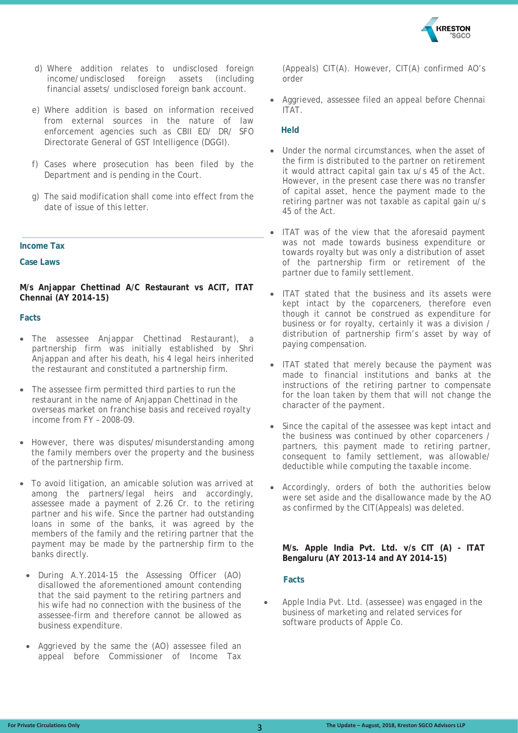

- d) Where addition relates to undisclosed foreign income/undisclosed foreign assets (including financial assets/ undisclosed foreign bank account.
- e) Where addition is based on information received from external sources in the nature of law enforcement agencies such as CBII ED/ DR/ SFO Directorate General of GST Intelligence (DGGI).
- f) Cases where prosecution has been filed by the Department and is pending in the Court.
- g) The said modification shall come into effect from the date of issue of this letter.

#### **Income Tax**

**Case Laws**

**M/s Anjappar Chettinad A/C Restaurant vs ACIT, ITAT Chennai (AY 2014-15)**

#### **Facts**

- The assessee Anjappar Chettinad Restaurant), a partnership firm was initially established by Shri Anjappan and after his death, his 4 legal heirs inherited the restaurant and constituted a partnership firm.
- The assessee firm permitted third parties to run the restaurant in the name of Anjappan Chettinad in the overseas market on franchise basis and received royalty income from FY – 2008-09.
- However, there was disputes/misunderstanding among the family members over the property and the business of the partnership firm.
- To avoid litigation, an amicable solution was arrived at among the partners/legal heirs and accordingly, assessee made a payment of 2.26 Cr. to the retiring partner and his wife. Since the partner had outstanding loans in some of the banks, it was agreed by the members of the family and the retiring partner that the payment may be made by the partnership firm to the banks directly.
- During A.Y.2014-15 the Assessing Officer (AO) disallowed the aforementioned amount contending that the said payment to the retiring partners and his wife had no connection with the business of the assessee-firm and therefore cannot be allowed as business expenditure.
- Aggrieved by the same the (AO) assessee filed an appeal before Commissioner of Income Tax

(Appeals) CIT(A). However, CIT(A) confirmed AO's order

• Aggrieved, assessee filed an appeal before Chennai ITAT.

#### **Held**

- Under the normal circumstances, when the asset of the firm is distributed to the partner on retirement it would attract capital gain tax u/s 45 of the Act. However, in the present case there was no transfer of capital asset, hence the payment made to the retiring partner was not taxable as capital gain u/s 45 of the Act.
- ITAT was of the view that the aforesaid payment was not made towards business expenditure or towards royalty but was only a distribution of asset of the partnership firm or retirement of the partner due to family settlement.
- ITAT stated that the business and its assets were kept intact by the coparceners, therefore even though it cannot be construed as expenditure for business or for royalty, certainly it was a division / distribution of partnership firm's asset by way of paying compensation.
- ITAT stated that merely because the payment was made to financial institutions and banks at the instructions of the retiring partner to compensate for the loan taken by them that will not change the character of the payment.
- Since the capital of the assessee was kept intact and the business was continued by other coparceners / partners, this payment made to retiring partner, consequent to family settlement, was allowable/ deductible while computing the taxable income.
- Accordingly, orders of both the authorities below were set aside and the disallowance made by the AO as confirmed by the CIT(Appeals) was deleted.

#### **M/s. Apple India Pvt. Ltd. v/s CIT (A) - ITAT Bengaluru (AY 2013-14 and AY 2014-15)**

#### **Facts**

• Apple India Pvt. Ltd. (assessee) was engaged in the business of marketing and related services for software products of Apple Co.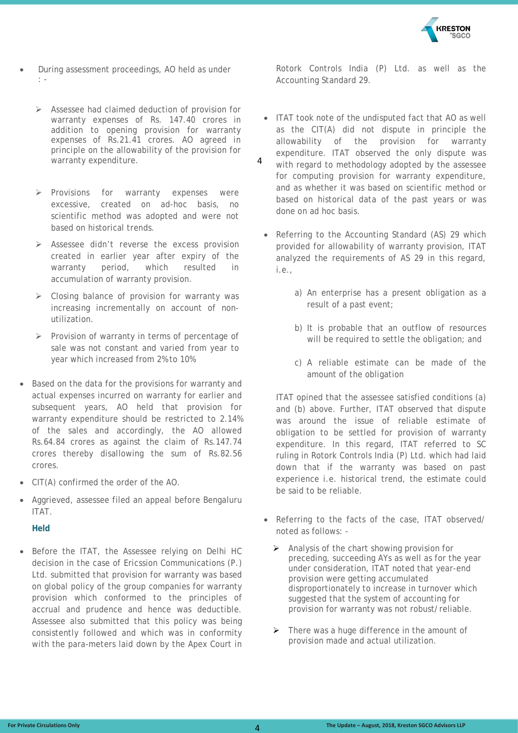

- During assessment proceedings, AO held as under : -
	- Assessee had claimed deduction of provision for warranty expenses of Rs. 147.40 crores in addition to opening provision for warranty expenses of Rs.21.41 crores. AO agreed in principle on the allowability of the provision for warranty expenditure.
	- $\triangleright$  Provisions for warranty expenses were excessive, created on ad-hoc basis, no scientific method was adopted and were not based on historical trends.
	- $\triangleright$  Assessee didn't reverse the excess provision created in earlier year after expiry of the warranty period, which resulted in accumulation of warranty provision.
	- $\triangleright$  Closing balance of provision for warranty was increasing incrementally on account of nonutilization.
	- $\triangleright$  Provision of warranty in terms of percentage of sale was not constant and varied from year to year which increased from 2% to 10%
- Based on the data for the provisions for warranty and actual expenses incurred on warranty for earlier and subsequent years, AO held that provision for warranty expenditure should be restricted to 2.14% of the sales and accordingly, the AO allowed Rs.64.84 crores as against the claim of Rs.147.74 crores thereby disallowing the sum of Rs.82.56 crores.
- CIT(A) confirmed the order of the AO.
- Aggrieved, assessee filed an appeal before Bengaluru ITAT.

#### **Held**

• Before the ITAT, the Assessee relying on Delhi HC decision in the case of Ericssion Communications (P.) Ltd. submitted that provision for warranty was based on global policy of the group companies for warranty provision which conformed to the principles of accrual and prudence and hence was deductible. Assessee also submitted that this policy was being consistently followed and which was in conformity with the para-meters laid down by the Apex Court in Rotork Controls India (P) Ltd. as well as the Accounting Standard 29.

- ITAT took note of the undisputed fact that AO as well as the CIT(A) did not dispute in principle the allowability of the provision for warranty expenditure. ITAT observed the only dispute was with regard to methodology adopted by the assessee for computing provision for warranty expenditure, and as whether it was based on scientific method or based on historical data of the past years or was done on ad hoc basis.  $\Delta$ 
	- Referring to the Accounting Standard (AS) 29 which provided for allowability of warranty provision, ITAT analyzed the requirements of AS 29 in this regard, i.e.,
		- a) An enterprise has a present obligation as a result of a past event;
		- b) It is probable that an outflow of resources will be required to settle the obligation; and
		- c) A reliable estimate can be made of the amount of the obligation

ITAT opined that the assessee satisfied conditions (a) and (b) above. Further, ITAT observed that dispute was around the issue of reliable estimate of obligation to be settled for provision of warranty expenditure. In this regard, ITAT referred to SC ruling in Rotork Controls India (P) Ltd. which had laid down that if the warranty was based on past experience i.e. historical trend, the estimate could be said to be reliable.

- Referring to the facts of the case, ITAT observed/ noted as follows: -
	- $\triangleright$  Analysis of the chart showing provision for preceding, succeeding AYs as well as for the year under consideration, ITAT noted that year-end provision were getting accumulated disproportionately to increase in turnover which suggested that the system of accounting for provision for warranty was not robust/reliable.
	- $\triangleright$  There was a huge difference in the amount of provision made and actual utilization.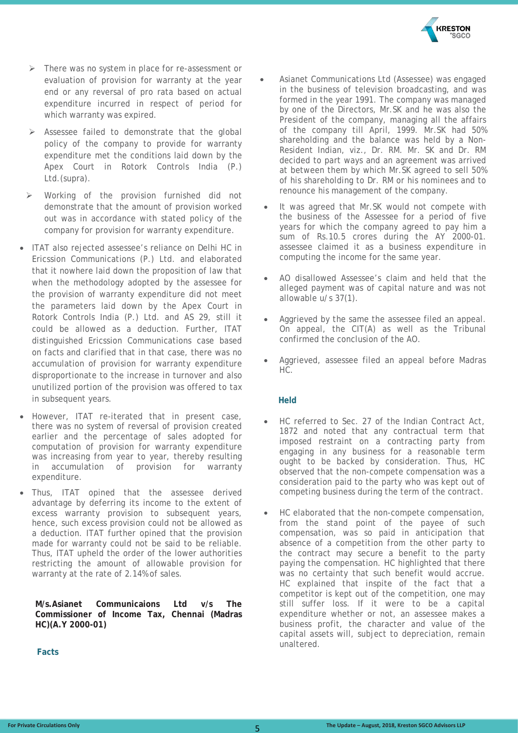

- > There was no system in place for re-assessment or evaluation of provision for warranty at the year end or any reversal of pro rata based on actual expenditure incurred in respect of period for which warranty was expired.
- $\triangleright$  Assessee failed to demonstrate that the global policy of the company to provide for warranty expenditure met the conditions laid down by the Apex Court in Rotork Controls India (P.) Ltd.(supra).
- Working of the provision furnished did not demonstrate that the amount of provision worked out was in accordance with stated policy of the company for provision for warranty expenditure.
- ITAT also rejected assessee's reliance on Delhi HC in Ericssion Communications (P.) Ltd. and elaborated that it nowhere laid down the proposition of law that when the methodology adopted by the assessee for the provision of warranty expenditure did not meet the parameters laid down by the Apex Court in Rotork Controls India (P.) Ltd. and AS 29, still it could be allowed as a deduction. Further, ITAT distinguished Ericssion Communications case based on facts and clarified that in that case, there was no accumulation of provision for warranty expenditure disproportionate to the increase in turnover and also unutilized portion of the provision was offered to tax in subsequent years.
- However, ITAT re-iterated that in present case, there was no system of reversal of provision created earlier and the percentage of sales adopted for computation of provision for warranty expenditure was increasing from year to year, thereby resulting in accumulation of provision for warranty expenditure.
- Thus, ITAT opined that the assessee derived advantage by deferring its income to the extent of excess warranty provision to subsequent years, hence, such excess provision could not be allowed as a deduction. ITAT further opined that the provision made for warranty could not be said to be reliable. Thus, ITAT upheld the order of the lower authorities restricting the amount of allowable provision for warranty at the rate of 2.14% of sales.

**M/s.Asianet Communicaions Ltd v/s The Commissioner of Income Tax, Chennai (Madras HC)(A.Y 2000-01)**

 **Facts**

- Asianet Communications Ltd (Assessee) was engaged in the business of television broadcasting, and was formed in the year 1991. The company was managed by one of the Directors, Mr.SK and he was also the President of the company, managing all the affairs of the company till April, 1999. Mr.SK had 50% shareholding and the balance was held by a Non-Resident Indian, viz., Dr. RM. Mr. SK and Dr. RM decided to part ways and an agreement was arrived at between them by which Mr.SK agreed to sell 50% of his shareholding to Dr. RM or his nominees and to renounce his management of the company.
- It was agreed that Mr.SK would not compete with the business of the Assessee for a period of five years for which the company agreed to pay him a sum of Rs.10.5 crores during the AY 2000-01. assessee claimed it as a business expenditure in computing the income for the same year.
- AO disallowed Assessee's claim and held that the alleged payment was of capital nature and was not allowable u/s 37(1).
- Aggrieved by the same the assessee filed an appeal. On appeal, the CIT(A) as well as the Tribunal confirmed the conclusion of the AO.
- Aggrieved, assessee filed an appeal before Madras HC.

#### **Held**

- HC referred to Sec. 27 of the Indian Contract Act, 1872 and noted that any contractual term that imposed restraint on a contracting party from engaging in any business for a reasonable term ought to be backed by consideration. Thus, HC observed that the non-compete compensation was a consideration paid to the party who was kept out of competing business during the term of the contract.
- HC elaborated that the non-compete compensation, from the stand point of the payee of such compensation, was so paid in anticipation that absence of a competition from the other party to the contract may secure a benefit to the party paying the compensation. HC highlighted that there was no certainty that such benefit would accrue. HC explained that inspite of the fact that a competitor is kept out of the competition, one may still suffer loss. If it were to be a capital expenditure whether or not, an assessee makes a business profit, the character and value of the capital assets will, subject to depreciation, remain unaltered.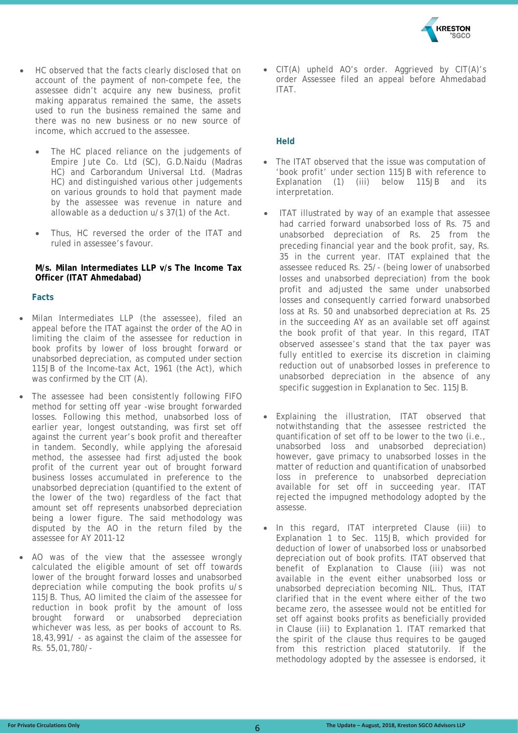

- HC observed that the facts clearly disclosed that on account of the payment of non-compete fee, the assessee didn't acquire any new business, profit making apparatus remained the same, the assets used to run the business remained the same and there was no new business or no new source of income, which accrued to the assessee.
	- The HC placed reliance on the judgements of Empire Jute Co. Ltd (SC), G.D.Naidu (Madras HC) and Carborandum Universal Ltd. (Madras HC) and distinguished various other judgements on various grounds to hold that payment made by the assessee was revenue in nature and allowable as a deduction u/s 37(1) of the Act.
	- Thus, HC reversed the order of the ITAT and ruled in assessee's favour.

#### **M/s. Milan Intermediates LLP v/s The Income Tax Officer (ITAT Ahmedabad)**

#### **Facts**

- Milan Intermediates LLP (the assessee), filed an appeal before the ITAT against the order of the AO in limiting the claim of the assessee for reduction in book profits by lower of loss brought forward or unabsorbed depreciation, as computed under section 115JB of the Income-tax Act, 1961 (the Act), which was confirmed by the CIT (A).
- The assessee had been consistently following FIFO method for setting off year -wise brought forwarded losses. Following this method, unabsorbed loss of earlier year, longest outstanding, was first set off against the current year's book profit and thereafter in tandem. Secondly, while applying the aforesaid method, the assessee had first adjusted the book profit of the current year out of brought forward business losses accumulated in preference to the unabsorbed depreciation (quantified to the extent of the lower of the two) regardless of the fact that amount set off represents unabsorbed depreciation being a lower figure. The said methodology was disputed by the AO in the return filed by the assessee for AY 2011-12
- AO was of the view that the assessee wrongly calculated the eligible amount of set off towards lower of the brought forward losses and unabsorbed depreciation while computing the book profits u/s 115JB. Thus, AO limited the claim of the assessee for reduction in book profit by the amount of loss brought forward or unabsorbed depreciation whichever was less, as per books of account to Rs. 18,43,991/ - as against the claim of the assessee for Rs. 55,01,780/-

• CIT(A) upheld AO's order. Aggrieved by CIT(A)'s order Assessee filed an appeal before Ahmedabad ITAT.

#### **Held**

- The ITAT observed that the issue was computation of 'book profit' under section 115JB with reference to Explanation (1) (iii) below 115JB and its interpretation.
- ITAT illustrated by way of an example that assessee had carried forward unabsorbed loss of Rs. 75 and unabsorbed depreciation of Rs. 25 from the preceding financial year and the book profit, say, Rs. 35 in the current year. ITAT explained that the assessee reduced Rs. 25/- (being lower of unabsorbed losses and unabsorbed depreciation) from the book profit and adjusted the same under unabsorbed losses and consequently carried forward unabsorbed loss at Rs. 50 and unabsorbed depreciation at Rs. 25 in the succeeding AY as an available set off against the book profit of that year. In this regard, ITAT observed assessee's stand that the tax payer was fully entitled to exercise its discretion in claiming reduction out of unabsorbed losses in preference to unabsorbed depreciation in the absence of any specific suggestion in Explanation to Sec. 115JB.
- Explaining the illustration, ITAT observed that notwithstanding that the assessee restricted the quantification of set off to be lower to the two (i.e., unabsorbed loss and unabsorbed depreciation) however, gave primacy to unabsorbed losses in the matter of reduction and quantification of unabsorbed loss in preference to unabsorbed depreciation available for set off in succeeding year. ITAT rejected the impugned methodology adopted by the assesse.
- In this regard, ITAT interpreted Clause (iii) to Explanation 1 to Sec. 115JB, which provided for deduction of lower of unabsorbed loss or unabsorbed depreciation out of book profits. ITAT observed that benefit of Explanation to Clause (iii) was not available in the event either unabsorbed loss or unabsorbed depreciation becoming NIL. Thus, ITAT clarified that in the event where either of the two became zero, the assessee would not be entitled for set off against books profits as beneficially provided in Clause (iii) to Explanation 1. ITAT remarked that the spirit of the clause thus requires to be gauged from this restriction placed statutorily. If the methodology adopted by the assessee is endorsed, it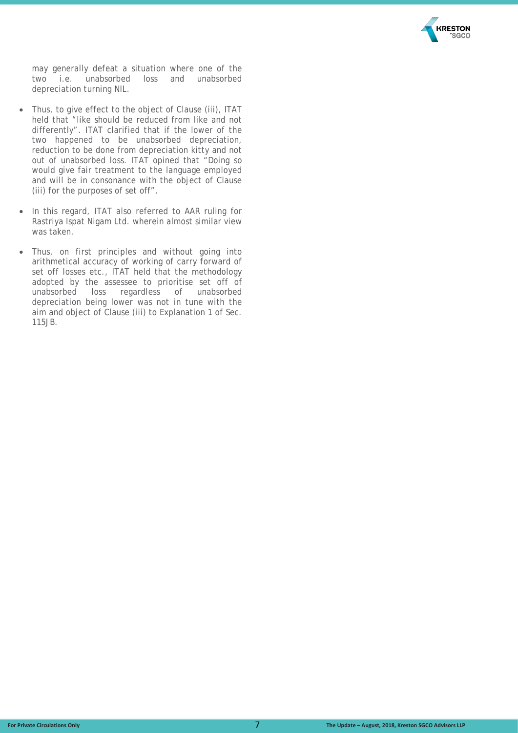

may generally defeat a situation where one of the two i.e. unabsorbed loss and unabsorbed depreciation turning NIL.

- Thus, to give effect to the object of Clause (iii), ITAT held that "like should be reduced from like and not differently". ITAT clarified that if the lower of the two happened to be unabsorbed depreciation, reduction to be done from depreciation kitty and not out of unabsorbed loss. ITAT opined that "Doing so would give fair treatment to the language employed and will be in consonance with the object of Clause (iii) for the purposes of set off".
- In this regard, ITAT also referred to AAR ruling for Rastriya Ispat Nigam Ltd. wherein almost similar view was taken.
- Thus, on first principles and without going into arithmetical accuracy of working of carry forward of set off losses etc., ITAT held that the methodology adopted by the assessee to prioritise set off of unabsorbed loss regardless of unabsorbed depreciation being lower was not in tune with the aim and object of Clause (iii) to Explanation 1 of Sec. 115JB.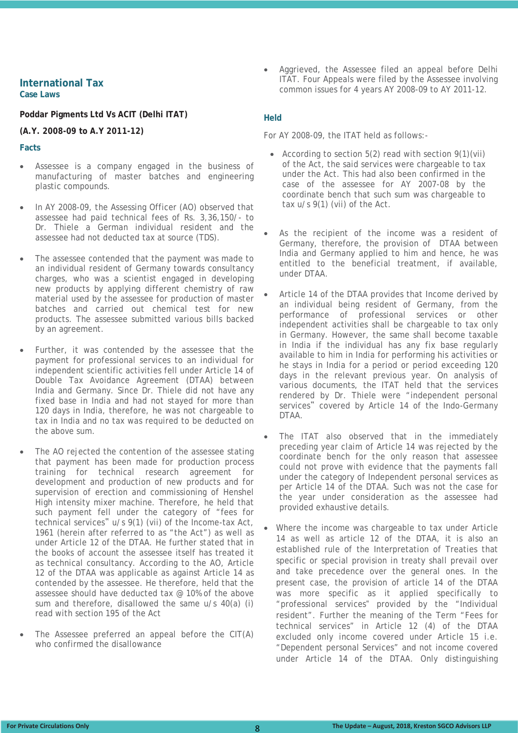#### **International Tax Case Laws**

#### **Poddar Pigments Ltd Vs ACIT (Delhi ITAT)**

#### **(A.Y. 2008-09 to A.Y 2011-12)**

#### **Facts**

- Assessee is a company engaged in the business of manufacturing of master batches and engineering plastic compounds.
- In AY 2008-09, the Assessing Officer (AO) observed that assessee had paid technical fees of Rs. 3,36,150/- to Dr. Thiele a German individual resident and the assessee had not deducted tax at source (TDS).
- The assessee contended that the payment was made to an individual resident of Germany towards consultancy charges, who was a scientist engaged in developing new products by applying different chemistry of raw material used by the assessee for production of master batches and carried out chemical test for new products. The assessee submitted various bills backed by an agreement.
- Further, it was contended by the assessee that the payment for professional services to an individual for independent scientific activities fell under Article 14 of Double Tax Avoidance Agreement (DTAA) between India and Germany. Since Dr. Thiele did not have any fixed base in India and had not stayed for more than 120 days in India, therefore, he was not chargeable to tax in India and no tax was required to be deducted on the above sum.
- The AO rejected the contention of the assessee stating that payment has been made for production process training for technical research agreement for development and production of new products and for supervision of erection and commissioning of Henshel High intensity mixer machine. Therefore, he held that such payment fell under the category of "fees for technical services" u/s 9(1) (vii) of the Income-tax Act, 1961 (herein after referred to as "the Act") as well as under Article 12 of the DTAA. He further stated that in the books of account the assessee itself has treated it as technical consultancy. According to the AO, Article 12 of the DTAA was applicable as against Article 14 as contended by the assessee. He therefore, held that the assessee should have deducted tax @ 10% of the above sum and therefore, disallowed the same u/s 40(a) (i) read with section 195 of the Act
- The Assessee preferred an appeal before the  $CIT(A)$ who confirmed the disallowance

• Aggrieved, the Assessee filed an appeal before Delhi ITAT. Four Appeals were filed by the Assessee involving common issues for 4 years AY 2008-09 to AY 2011-12.

#### **Held**

For AY 2008-09, the ITAT held as follows:-

- According to section  $5(2)$  read with section  $9(1)(vii)$ of the Act, the said services were chargeable to tax under the Act. This had also been confirmed in the case of the assessee for AY 2007-08 by the coordinate bench that such sum was chargeable to tax u/s 9(1) (vii) of the Act.
- As the recipient of the income was a resident of Germany, therefore, the provision of DTAA between India and Germany applied to him and hence, he was entitled to the beneficial treatment, if available, under DTAA.
- Article 14 of the DTAA provides that Income derived by an individual being resident of Germany, from the performance of professional services or other independent activities shall be chargeable to tax only in Germany. However, the same shall become taxable in India if the individual has any fix base regularly available to him in India for performing his activities or he stays in India for a period or period exceeding 120 days in the relevant previous year. On analysis of various documents, the ITAT held that the services rendered by Dr. Thiele were "independent personal services" covered by Article 14 of the Indo-Germany DTAA.
- The ITAT also observed that in the immediately preceding year claim of Article 14 was rejected by the coordinate bench for the only reason that assessee could not prove with evidence that the payments fall under the category of Independent personal services as per Article 14 of the DTAA. Such was not the case for the year under consideration as the assessee had provided exhaustive details.
- Where the income was chargeable to tax under Article 14 as well as article 12 of the DTAA, it is also an established rule of the Interpretation of Treaties that specific or special provision in treaty shall prevail over and take precedence over the general ones. In the present case, the provision of article 14 of the DTAA was more specific as it applied specifically to "professional services" provided by the "Individual resident". Further the meaning of the Term "Fees for technical services" in Article 12 (4) of the DTAA excluded only income covered under Article 15 i.e. "Dependent personal Services" and not income covered under Article 14 of the DTAA. Only distinguishing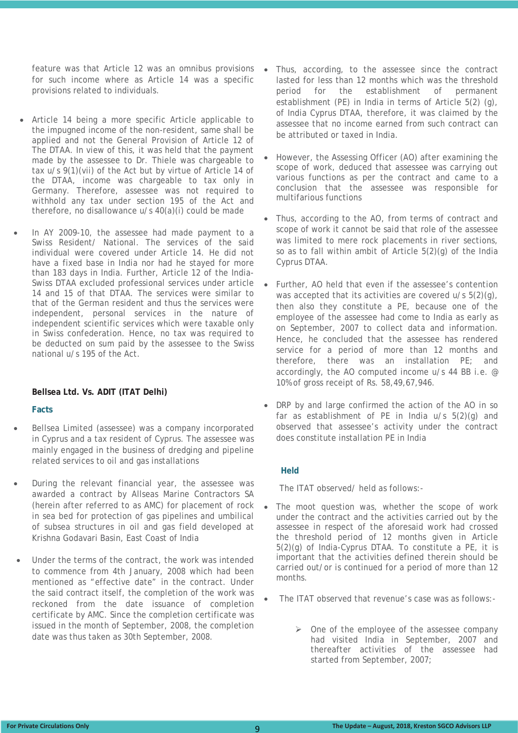feature was that Article 12 was an omnibus provisions for such income where as Article 14 was a specific provisions related to individuals.

- Article 14 being a more specific Article applicable to the impugned income of the non-resident, same shall be applied and not the General Provision of Article 12 of The DTAA. In view of this, it was held that the payment made by the assessee to Dr. Thiele was chargeable to tax u/s 9(1)(vii) of the Act but by virtue of Article 14 of the DTAA, income was chargeable to tax only in Germany. Therefore, assessee was not required to withhold any tax under section 195 of the Act and therefore, no disallowance u/s 40(a)(i) could be made
- In AY 2009-10, the assessee had made payment to a Swiss Resident/ National. The services of the said individual were covered under Article 14. He did not have a fixed base in India nor had he stayed for more than 183 days in India. Further, Article 12 of the India-Swiss DTAA excluded professional services under article 14 and 15 of that DTAA. The services were similar to that of the German resident and thus the services were independent, personal services in the nature of independent scientific services which were taxable only in Swiss confederation. Hence, no tax was required to be deducted on sum paid by the assessee to the Swiss national u/s 195 of the Act.

#### **Bellsea Ltd. Vs. ADIT (ITAT Delhi)**

#### **Facts**

- Bellsea Limited (assessee) was a company incorporated in Cyprus and a tax resident of Cyprus. The assessee was mainly engaged in the business of dredging and pipeline related services to oil and gas installations
- During the relevant financial year, the assessee was awarded a contract by Allseas Marine Contractors SA (herein after referred to as AMC) for placement of rock in sea bed for protection of gas pipelines and umbilical of subsea structures in oil and gas field developed at Krishna Godavari Basin, East Coast of India
- Under the terms of the contract, the work was intended to commence from 4th January, 2008 which had been mentioned as "effective date" in the contract. Under the said contract itself, the completion of the work was reckoned from the date issuance of completion certificate by AMC. Since the completion certificate was issued in the month of September, 2008, the completion date was thus taken as 30th September, 2008.
- Thus, according, to the assessee since the contract lasted for less than 12 months which was the threshold period for the establishment of permanent establishment (PE) in India in terms of Article 5(2) (g), of India Cyprus DTAA, therefore, it was claimed by the assessee that no income earned from such contract can be attributed or taxed in India.
- However, the Assessing Officer (AO) after examining the scope of work, deduced that assessee was carrying out various functions as per the contract and came to a conclusion that the assessee was responsible for multifarious functions
- Thus, according to the AO, from terms of contract and scope of work it cannot be said that role of the assessee was limited to mere rock placements in river sections, so as to fall within ambit of Article 5(2)(g) of the India Cyprus DTAA.
- Further, AO held that even if the assessee's contention was accepted that its activities are covered u/s 5(2)(g), then also they constitute a PE, because one of the employee of the assessee had come to India as early as on September, 2007 to collect data and information. Hence, he concluded that the assessee has rendered service for a period of more than 12 months and therefore, there was an installation PE; and accordingly, the AO computed income u/s 44 BB i.e. @ 10% of gross receipt of Rs. 58,49,67,946.
- DRP by and large confirmed the action of the AO in so far as establishment of PE in India  $u/s$  5(2)(q) and observed that assessee's activity under the contract does constitute installation PE in India

#### **Held**

The ITAT observed/ held as follows:-

- The moot question was, whether the scope of work under the contract and the activities carried out by the assessee in respect of the aforesaid work had crossed the threshold period of 12 months given in Article 5(2)(g) of India-Cyprus DTAA. To constitute a PE, it is important that the activities defined therein should be carried out/or is continued for a period of more than 12 months.
- The ITAT observed that revenue's case was as follows:-
	- $\triangleright$  One of the employee of the assessee company had visited India in September, 2007 and thereafter activities of the assessee had started from September, 2007;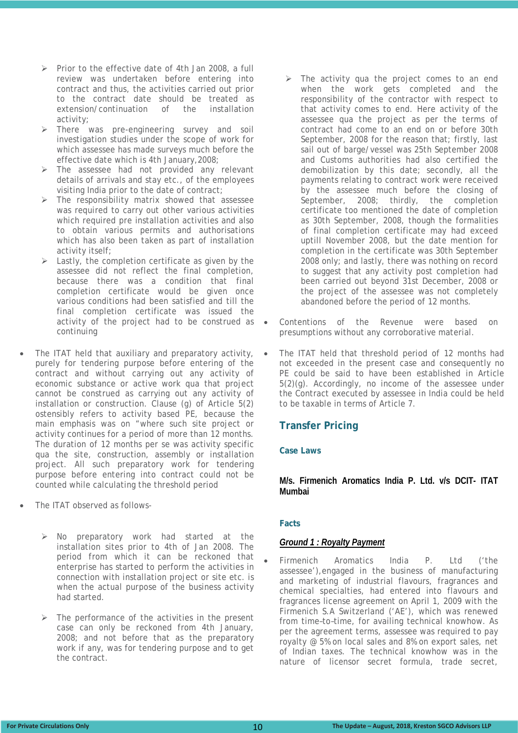- $\triangleright$  Prior to the effective date of 4th Jan 2008, a full review was undertaken before entering into contract and thus, the activities carried out prior to the contract date should be treated as extension/continuation of the installation activity;
- There was pre-engineering survey and soil investigation studies under the scope of work for which assessee has made surveys much before the effective date which is 4th January,2008;
- The assessee had not provided any relevant details of arrivals and stay etc., of the employees visiting India prior to the date of contract;
- The responsibility matrix showed that assessee was required to carry out other various activities which required pre installation activities and also to obtain various permits and authorisations which has also been taken as part of installation activity itself;
- $\triangleright$  Lastly, the completion certificate as given by the assessee did not reflect the final completion, because there was a condition that final completion certificate would be given once various conditions had been satisfied and till the final completion certificate was issued the activity of the project had to be construed as continuing
- The ITAT held that auxiliary and preparatory activity, purely for tendering purpose before entering of the contract and without carrying out any activity of economic substance or active work qua that project cannot be construed as carrying out any activity of installation or construction. Clause (g) of Article 5(2) ostensibly refers to activity based PE, because the main emphasis was on "where such site project or activity continues for a period of more than 12 months. The duration of 12 months per se was activity specific qua the site, construction, assembly or installation project. All such preparatory work for tendering purpose before entering into contract could not be counted while calculating the threshold period
- The ITAT observed as follows-
	- No preparatory work had started at the installation sites prior to 4th of Jan 2008. The period from which it can be reckoned that enterprise has started to perform the activities in connection with installation project or site etc. is when the actual purpose of the business activity had started.
	- The performance of the activities in the present case can only be reckoned from 4th January, 2008; and not before that as the preparatory work if any, was for tendering purpose and to get the contract.
- $\triangleright$  The activity qua the project comes to an end when the work gets completed and the responsibility of the contractor with respect to that activity comes to end. Here activity of the assessee qua the project as per the terms of contract had come to an end on or before 30th September, 2008 for the reason that; firstly, last sail out of barge/vessel was 25th September 2008 and Customs authorities had also certified the demobilization by this date; secondly, all the payments relating to contract work were received by the assessee much before the closing of September, 2008; thirdly, the completion certificate too mentioned the date of completion as 30th September, 2008, though the formalities of final completion certificate may had exceed uptill November 2008, but the date mention for completion in the certificate was 30th September 2008 only; and lastly, there was nothing on record to suggest that any activity post completion had been carried out beyond 31st December, 2008 or the project of the assessee was not completely abandoned before the period of 12 months.
- Contentions of the Revenue were based on presumptions without any corroborative material.
- The ITAT held that threshold period of 12 months had not exceeded in the present case and consequently no PE could be said to have been established in Article 5(2)(g). Accordingly, no income of the assessee under the Contract executed by assessee in India could be held to be taxable in terms of Article 7.

#### **Transfer Pricing**

#### **Case Laws**

#### **M/s. Firmenich Aromatics India P. Ltd. v/s DCIT- ITAT Mumbai**

#### **Facts**

#### *Ground 1 : Royalty Payment*

• Firmenich Aromatics India P. Ltd ('the assessee'),engaged in the business of manufacturing and marketing of industrial flavours, fragrances and chemical specialties, had entered into flavours and fragrances license agreement on April 1, 2009 with the Firmenich S.A Switzerland ('AE'), which was renewed from time–to–time, for availing technical knowhow. As per the agreement terms, assessee was required to pay royalty @ 5% on local sales and 8% on export sales, net of Indian taxes. The technical knowhow was in the nature of licensor secret formula, trade secret,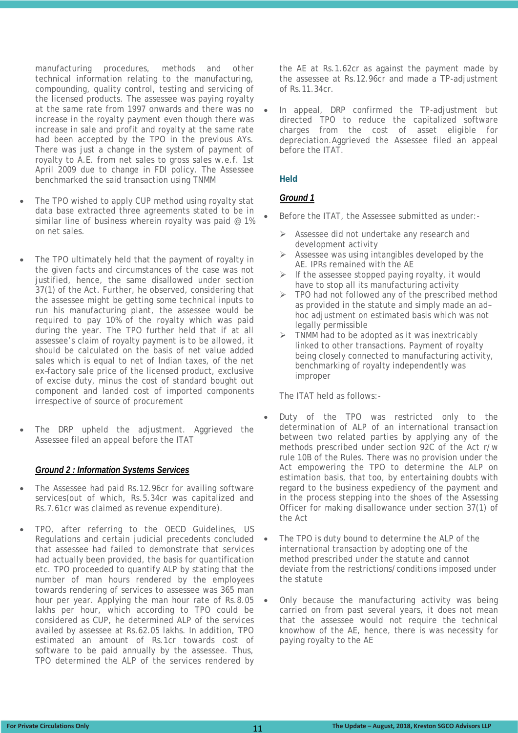manufacturing procedures, methods and other technical information relating to the manufacturing, compounding, quality control, testing and servicing of the licensed products. The assessee was paying royalty at the same rate from 1997 onwards and there was no increase in the royalty payment even though there was increase in sale and profit and royalty at the same rate had been accepted by the TPO in the previous AYs. There was just a change in the system of payment of royalty to A.E. from net sales to gross sales w.e.f. 1st April 2009 due to change in FDI policy. The Assessee benchmarked the said transaction using TNMM

- The TPO wished to apply CUP method using royalty stat data base extracted three agreements stated to be in similar line of business wherein royalty was paid @ 1% on net sales.
- The TPO ultimately held that the payment of royalty in the given facts and circumstances of the case was not justified, hence, the same disallowed under section 37(1) of the Act. Further, he observed, considering that the assessee might be getting some technical inputs to run his manufacturing plant, the assessee would be required to pay 10% of the royalty which was paid during the year. The TPO further held that if at all assessee's claim of royalty payment is to be allowed, it should be calculated on the basis of net value added sales which is equal to net of Indian taxes, of the net ex–factory sale price of the licensed product, exclusive of excise duty, minus the cost of standard bought out component and landed cost of imported components irrespective of source of procurement
- The DRP upheld the adjustment. Aggrieved the Assessee filed an appeal before the ITAT

#### *Ground 2 : Information Systems Services*

- The Assessee had paid Rs.12.96cr for availing software services(out of which, Rs.5.34cr was capitalized and Rs.7.61cr was claimed as revenue expenditure).
- TPO, after referring to the OECD Guidelines, US Regulations and certain judicial precedents concluded that assessee had failed to demonstrate that services had actually been provided, the basis for quantification etc. TPO proceeded to quantify ALP by stating that the number of man hours rendered by the employees towards rendering of services to assessee was 365 man hour per year. Applying the man hour rate of Rs.8.05 lakhs per hour, which according to TPO could be considered as CUP, he determined ALP of the services availed by assessee at Rs.62.05 lakhs. In addition, TPO estimated an amount of Rs.1cr towards cost of software to be paid annually by the assessee. Thus, TPO determined the ALP of the services rendered by

the AE at Rs.1.62cr as against the payment made by the assessee at Rs.12.96cr and made a TP-adjustment of Rs.11.34cr.

• In appeal, DRP confirmed the TP-adjustment but directed TPO to reduce the capitalized software charges from the cost of asset eligible for depreciation.Aggrieved the Assessee filed an appeal before the ITAT.

#### **Held**

#### *Ground 1*

- Before the ITAT, the Assessee submitted as under:-
	- Assessee did not undertake any research and development activity
	- $\triangleright$  Assessee was using intangibles developed by the AE. IPRs remained with the AE
	- $\triangleright$  If the assessee stopped paying royalty, it would have to stop all its manufacturing activity
	- $\triangleright$  TPO had not followed any of the prescribed method as provided in the statute and simply made an ad– hoc adjustment on estimated basis which was not legally permissible
	- $\triangleright$  TNMM had to be adopted as it was inextricably linked to other transactions. Payment of royalty being closely connected to manufacturing activity, benchmarking of royalty independently was improper

The ITAT held as follows:-

- Duty of the TPO was restricted only to the determination of ALP of an international transaction between two related parties by applying any of the methods prescribed under section 92C of the Act r/w rule 10B of the Rules. There was no provision under the Act empowering the TPO to determine the ALP on estimation basis, that too, by entertaining doubts with regard to the business expediency of the payment and in the process stepping into the shoes of the Assessing Officer for making disallowance under section 37(1) of the Act
- The TPO is duty bound to determine the ALP of the international transaction by adopting one of the method prescribed under the statute and cannot deviate from the restrictions/conditions imposed under the statute
- Only because the manufacturing activity was being carried on from past several years, it does not mean that the assessee would not require the technical knowhow of the AE, hence, there is was necessity for paying royalty to the AE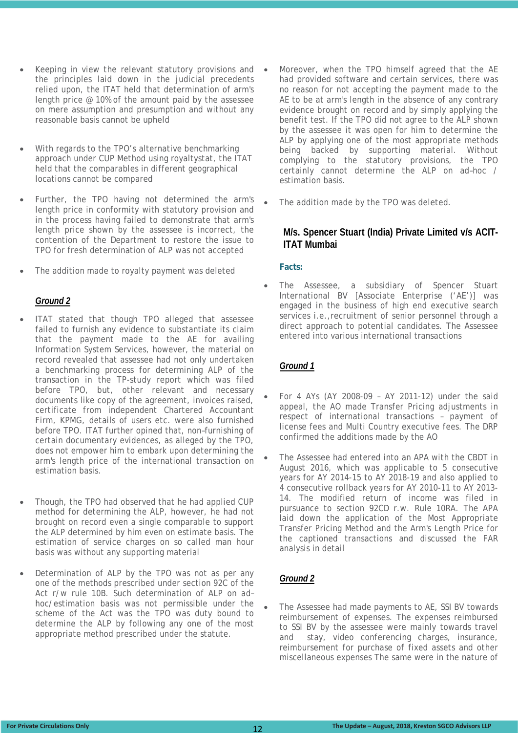- Keeping in view the relevant statutory provisions and the principles laid down in the judicial precedents relied upon, the ITAT held that determination of arm's length price @ 10% of the amount paid by the assessee on mere assumption and presumption and without any reasonable basis cannot be upheld
- With regards to the TPO's alternative benchmarking approach under CUP Method using royaltystat, the ITAT held that the comparables in different geographical locations cannot be compared
- Further, the TPO having not determined the arm's length price in conformity with statutory provision and in the process having failed to demonstrate that arm's length price shown by the assessee is incorrect, the contention of the Department to restore the issue to TPO for fresh determination of ALP was not accepted
- The addition made to royalty payment was deleted

#### *Ground 2*

- ITAT stated that though TPO alleged that assessee failed to furnish any evidence to substantiate its claim that the payment made to the AE for availing Information System Services, however, the material on record revealed that assessee had not only undertaken a benchmarking process for determining ALP of the transaction in the TP-study report which was filed before TPO, but, other relevant and necessary documents like copy of the agreement, invoices raised, certificate from independent Chartered Accountant Firm, KPMG, details of users etc. were also furnished before TPO. ITAT further opined that, non–furnishing of certain documentary evidences, as alleged by the TPO, does not empower him to embark upon determining the arm's length price of the international transaction on estimation basis.
- Though, the TPO had observed that he had applied CUP method for determining the ALP, however, he had not brought on record even a single comparable to support the ALP determined by him even on estimate basis. The estimation of service charges on so called man hour basis was without any supporting material
- Determination of ALP by the TPO was not as per any one of the methods prescribed under section 92C of the Act r/w rule 10B. Such determination of ALP on ad– hoc/estimation basis was not permissible under the scheme of the Act was the TPO was duty bound to determine the ALP by following any one of the most appropriate method prescribed under the statute.
- Moreover, when the TPO himself agreed that the AE had provided software and certain services, there was no reason for not accepting the payment made to the AE to be at arm's length in the absence of any contrary evidence brought on record and by simply applying the benefit test. If the TPO did not agree to the ALP shown by the assessee it was open for him to determine the ALP by applying one of the most appropriate methods being backed by supporting material. Without complying to the statutory provisions, the TPO certainly cannot determine the ALP on ad–hoc / estimation basis.
	- The addition made by the TPO was deleted.

#### **M/s. Spencer Stuart (India) Private Limited v/s ACIT-ITAT Mumbai**

#### **Facts:**

The Assessee, a subsidiary of Spencer Stuart International BV [Associate Enterprise ('AE')] was engaged in the business of high end executive search services i.e., recruitment of senior personnel through a direct approach to potential candidates. The Assessee entered into various international transactions

#### *Ground 1*

- For 4 AYs (AY 2008-09 AY 2011-12) under the said appeal, the AO made Transfer Pricing adjustments in respect of international transactions – payment of license fees and Multi Country executive fees. The DRP confirmed the additions made by the AO
- The Assessee had entered into an APA with the CBDT in August 2016, which was applicable to 5 consecutive years for AY 2014-15 to AY 2018-19 and also applied to 4 consecutive rollback years for AY 2010-11 to AY 2013- 14. The modified return of income was filed in pursuance to section 92CD r.w. Rule 10RA. The APA laid down the application of the Most Appropriate Transfer Pricing Method and the Arm's Length Price for the captioned transactions and discussed the FAR analysis in detail

#### *Ground 2*

The Assessee had made payments to AE, SSI BV towards reimbursement of expenses. The expenses reimbursed to SSI BV by the assessee were mainly towards travel and stay, video conferencing charges, insurance, reimbursement for purchase of fixed assets and other miscellaneous expenses The same were in the nature of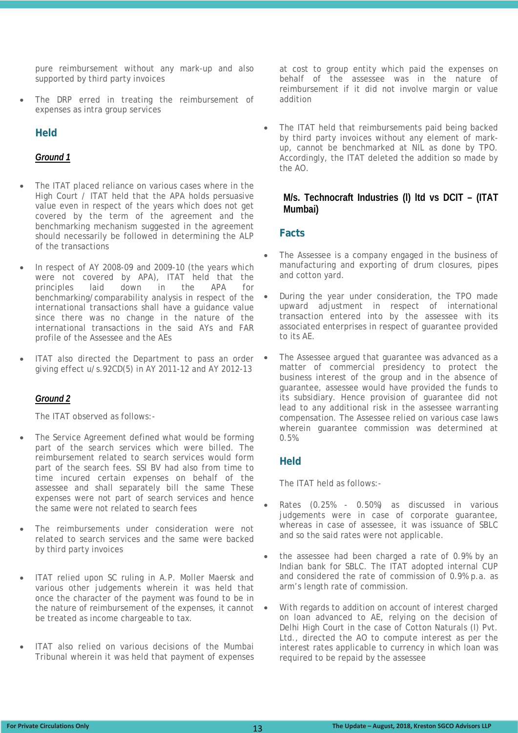pure reimbursement without any mark-up and also supported by third party invoices

The DRP erred in treating the reimbursement of expenses as intra group services

#### **Held**

#### *Ground 1*

- The ITAT placed reliance on various cases where in the High Court / ITAT held that the APA holds persuasive value even in respect of the years which does not get covered by the term of the agreement and the benchmarking mechanism suggested in the agreement should necessarily be followed in determining the ALP of the transactions
- In respect of AY 2008-09 and 2009-10 (the years which were not covered by APA), ITAT held that the principles laid down in the APA for benchmarking/comparability analysis in respect of the international transactions shall have a guidance value since there was no change in the nature of the international transactions in the said AYs and FAR profile of the Assessee and the AEs
- ITAT also directed the Department to pass an order giving effect u/s.92CD(5) in AY 2011-12 and AY 2012-13

#### *Ground 2*

The ITAT observed as follows:-

- The Service Agreement defined what would be forming part of the search services which were billed. The reimbursement related to search services would form part of the search fees. SSI BV had also from time to time incured certain expenses on behalf of the assessee and shall separately bill the same These expenses were not part of search services and hence the same were not related to search fees
- The reimbursements under consideration were not related to search services and the same were backed by third party invoices
- ITAT relied upon SC ruling in A.P. Moller Maersk and various other judgements wherein it was held that once the character of the payment was found to be in the nature of reimbursement of the expenses, it cannot be treated as income chargeable to tax.
- ITAT also relied on various decisions of the Mumbai Tribunal wherein it was held that payment of expenses

at cost to group entity which paid the expenses on behalf of the assessee was in the nature of reimbursement if it did not involve margin or value addition

• The ITAT held that reimbursements paid being backed by third party invoices without any element of markup, cannot be benchmarked at NIL as done by TPO. Accordingly, the ITAT deleted the addition so made by the AO.

#### **M/s. Technocraft Industries (l) ltd vs DCIT – (ITAT Mumbai)**

#### **Facts**

- The Assessee is a company engaged in the business of manufacturing and exporting of drum closures, pipes and cotton yard.
- During the year under consideration, the TPO made upward adjustment in respect of international transaction entered into by the assessee with its associated enterprises in respect of guarantee provided to its AE.
- The Assessee argued that guarantee was advanced as a matter of commercial presidency to protect the business interest of the group and in the absence of guarantee, assessee would have provided the funds to its subsidiary. Hence provision of guarantee did not lead to any additional risk in the assessee warranting compensation. The Assessee relied on various case laws wherein guarantee commission was determined at 0.5%.

#### **Held**

The ITAT held as follows:-

- Rates (0.25% 0.50%) as discussed in various judgements were in case of corporate guarantee, whereas in case of assessee, it was issuance of SBLC and so the said rates were not applicable.
- the assessee had been charged a rate of 0.9% by an Indian bank for SBLC. The ITAT adopted internal CUP and considered the rate of commission of 0.9% p.a. as arm's length rate of commission.
- With regards to addition on account of interest charged on loan advanced to AE, relying on the decision of Delhi High Court in the case of Cotton Naturals (I) Pvt. Ltd., directed the AO to compute interest as per the interest rates applicable to currency in which loan was required to be repaid by the assessee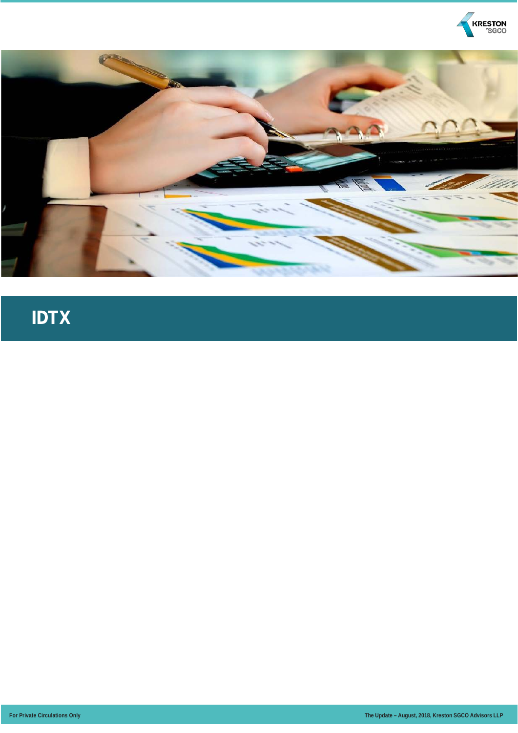



### **IDTX**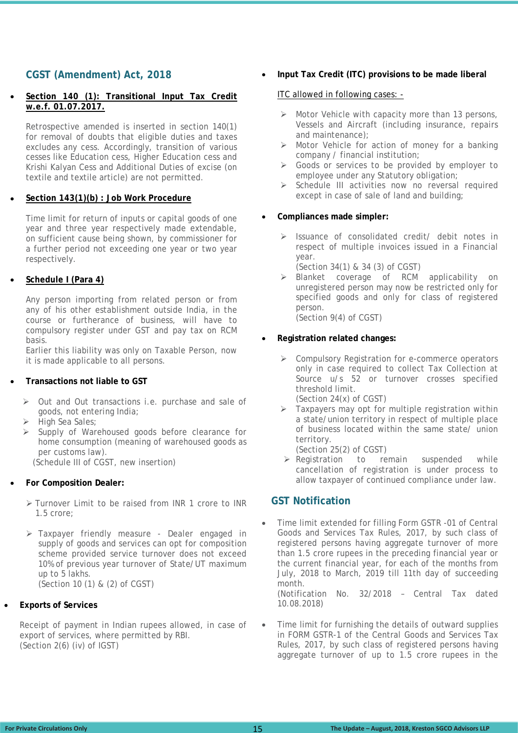#### **CGST (Amendment) Act, 2018**

#### • **Section 140 (1): Transitional Input Tax Credit w.e.f. 01.07.2017.**

Retrospective amended is inserted in section 140(1) for removal of doubts that eligible duties and taxes excludes any cess. Accordingly, transition of various cesses like Education cess, Higher Education cess and Krishi Kalyan Cess and Additional Duties of excise (on textile and textile article) are not permitted.

#### • **Section 143(1)(b) : Job Work Procedure**

Time limit for return of inputs or capital goods of one year and three year respectively made extendable, on sufficient cause being shown, by commissioner for a further period not exceeding one year or two year respectively.

#### • **Schedule I (Para 4)**

Any person importing from related person or from any of his other establishment outside India, in the course or furtherance of business, will have to compulsory register under GST and pay tax on RCM basis.

Earlier this liability was only on Taxable Person, now it is made applicable to all persons.

#### • **Transactions not liable to GST**

- Out and Out transactions i.e. purchase and sale of goods, not entering India;
- $\triangleright$  High Sea Sales;
- $\triangleright$  Supply of Warehoused goods before clearance for home consumption (meaning of warehoused goods as per customs law). (Schedule III of CGST, new insertion)

• **For Composition Dealer:** 

- > Turnover Limit to be raised from INR 1 crore to INR 1.5 crore;
- Taxpayer friendly measure Dealer engaged in supply of goods and services can opt for composition scheme provided service turnover does not exceed 10% of previous year turnover of State/UT maximum up to 5 lakhs. (Section 10 (1) & (2) of CGST)

#### • **Exports of Services**

Receipt of payment in Indian rupees allowed, in case of export of services, where permitted by RBI. (Section 2(6) (iv) of IGST)

#### • **Input Tax Credit (ITC) provisions to be made liberal**

#### ITC allowed in following cases: -

- $\triangleright$  Motor Vehicle with capacity more than 13 persons, Vessels and Aircraft (including insurance, repairs and maintenance);
- $\triangleright$  Motor Vehicle for action of money for a banking company / financial institution;
- Soods or services to be provided by employer to employee under any Statutory obligation;
- $\triangleright$  Schedule III activities now no reversal required except in case of sale of land and building;

#### • **Compliances made simpler:**

- $\triangleright$  Issuance of consolidated credit/ debit notes in respect of multiple invoices issued in a Financial year.
	- (Section 34(1) & 34 (3) of CGST)
- > Blanket coverage of RCM applicability on unregistered person may now be restricted only for specified goods and only for class of registered person. (Section 9(4) of CGST)

• **Registration related changes:**

- $\triangleright$  Compulsory Registration for e-commerce operators only in case required to collect Tax Collection at Source u/s 52 or turnover crosses specified threshold limit. (Section 24(x) of CGST)
- $\triangleright$  Taxpayers may opt for multiple registration within a state/union territory in respect of multiple place of business located within the same state/ union territory.
	- (Section 25(2) of CGST)
- $\triangleright$  Registration to remain suspended while cancellation of registration is under process to allow taxpayer of continued compliance under law.

#### **GST Notification**

• Time limit extended for filling Form GSTR -01 of Central Goods and Services Tax Rules, 2017, by such class of registered persons having aggregate turnover of more than 1.5 crore rupees in the preceding financial year or the current financial year, for each of the months from July, 2018 to March, 2019 till 11th day of succeeding month. (Notification No. 32/2018 – Central Tax dated

10.08.2018)

Time limit for furnishing the details of outward supplies in FORM GSTR-1 of the Central Goods and Services Tax Rules, 2017, by such class of registered persons having aggregate turnover of up to 1.5 crore rupees in the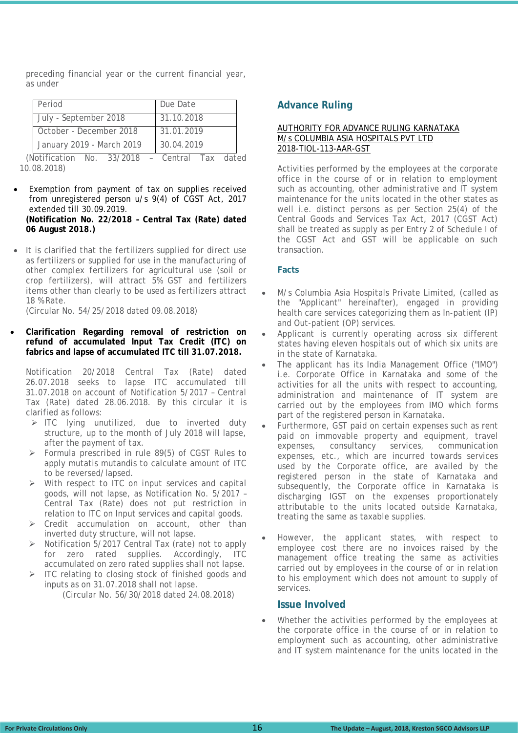preceding financial year or the current financial year, as under

| Period                        | Due Date       |  |
|-------------------------------|----------------|--|
| July - September 2018         | 31.10.2018     |  |
| October - December 2018       | 31.01.2019     |  |
| January 2019 - March 2019     | 30.04.2019     |  |
| (Notification)<br>No. 33/2018 | Central<br>Гах |  |

10.08.2018)

- Exemption from payment of tax on supplies received from unregistered person u/s 9(4) of CGST Act, 2017 extended till 30.09.2019. **(Notification No. 22/2018 – Central Tax (Rate) dated 06 August 2018.)**
- It is clarified that the fertilizers supplied for direct use as fertilizers or supplied for use in the manufacturing of other complex fertilizers for agricultural use (soil or crop fertilizers), will attract 5% GST and fertilizers items other than clearly to be used as fertilizers attract 18 % Rate.

(Circular No. 54/25/2018 dated 09.08.2018)

• **Clarification Regarding removal of restriction on refund of accumulated Input Tax Credit (ITC) on fabrics and lapse of accumulated ITC till 31.07.2018.**

Notification 20/2018 Central Tax (Rate) dated 26.07.2018 seeks to lapse ITC accumulated till 31.07.2018 on account of Notification 5/2017 – Central Tax (Rate) dated 28.06.2018. By this circular it is clarified as follows:

- $\triangleright$  ITC Iving unutilized, due to inverted duty structure, up to the month of July 2018 will lapse, after the payment of tax.
- $\triangleright$  Formula prescribed in rule 89(5) of CGST Rules to apply mutatis mutandis to calculate amount of ITC to be reversed/lapsed.
- $\triangleright$  With respect to ITC on input services and capital goods, will not lapse, as Notification No. 5/2017 – Central Tax (Rate) does not put restriction in relation to ITC on Input services and capital goods.
- $\triangleright$  Credit accumulation on account, other than inverted duty structure, will not lapse.
- $\triangleright$  Notification 5/2017 Central Tax (rate) not to apply for zero rated supplies. Accordingly, ITC accumulated on zero rated supplies shall not lapse.
- > ITC relating to closing stock of finished goods and inputs as on 31.07.2018 shall not lapse.

(Circular No. 56/30/2018 dated 24.08.2018)

#### **Advance Ruling**

#### AUTHORITY FOR ADVANCE RULING KARNATAKA M/s COLUMBIA ASIA HOSPITALS PVT LTD 2018-TIOL-113-AAR-GST

Activities performed by the employees at the corporate office in the course of or in relation to employment such as accounting, other administrative and IT system maintenance for the units located in the other states as well i.e. distinct persons as per Section 25(4) of the Central Goods and Services Tax Act, 2017 (CGST Act) shall be treated as supply as per Entry 2 of Schedule I of the CGST Act and GST will be applicable on such transaction.

#### **Facts**

- M/s Columbia Asia Hospitals Private Limited, (called as the "Applicant" hereinafter), engaged in providing health care services categorizing them as In-patient (IP) and Out-patient (OP) services.
- Applicant is currently operating across six different states having eleven hospitals out of which six units are in the state of Karnataka.
- The applicant has its India Management Office ("IMO") i.e. Corporate Office in Karnataka and some of the activities for all the units with respect to accounting, administration and maintenance of IT system are carried out by the employees from IMO which forms part of the registered person in Karnataka.
- Furthermore, GST paid on certain expenses such as rent paid on immovable property and equipment, travel expenses, consultancy services, communication expenses, etc., which are incurred towards services used by the Corporate office, are availed by the registered person in the state of Karnataka and subsequently, the Corporate office in Karnataka is discharging IGST on the expenses proportionately attributable to the units located outside Karnataka, treating the same as taxable supplies.
- However, the applicant states, with respect to employee cost there are no invoices raised by the management office treating the same as activities carried out by employees in the course of or in relation to his employment which does not amount to supply of services.

#### **Issue Involved**

Whether the activities performed by the employees at the corporate office in the course of or in relation to employment such as accounting, other administrative and IT system maintenance for the units located in the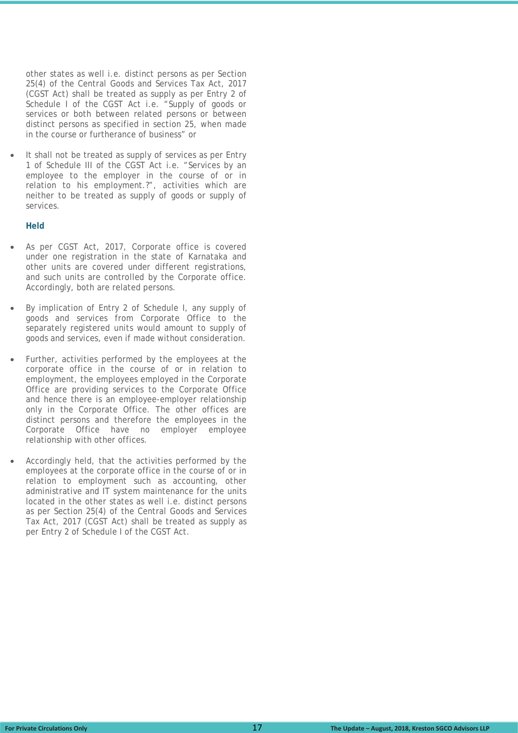other states as well i.e. distinct persons as per Section 25(4) of the Central Goods and Services Tax Act, 2017 (CGST Act) shall be treated as supply as per Entry 2 of Schedule I of the CGST Act i.e. "Supply of goods or services or both between related persons or between distinct persons as specified in section 25, when made in the course or furtherance of business" or

It shall not be treated as supply of services as per Entry 1 of Schedule III of the CGST Act i.e. "Services by an employee to the employer in the course of or in relation to his employment.?", activities which are neither to be treated as supply of goods or supply of services.

#### **Held**

- As per CGST Act, 2017, Corporate office is covered under one registration in the state of Karnataka and other units are covered under different registrations, and such units are controlled by the Corporate office. Accordingly, both are related persons.
- By implication of Entry 2 of Schedule I, any supply of goods and services from Corporate Office to the separately registered units would amount to supply of goods and services, even if made without consideration.
- Further, activities performed by the employees at the corporate office in the course of or in relation to employment, the employees employed in the Corporate Office are providing services to the Corporate Office and hence there is an employee-employer relationship only in the Corporate Office. The other offices are distinct persons and therefore the employees in the Corporate Office have no employer employee relationship with other offices.
- Accordingly held, that the activities performed by the employees at the corporate office in the course of or in relation to employment such as accounting, other administrative and IT system maintenance for the units located in the other states as well i.e. distinct persons as per Section 25(4) of the Central Goods and Services Tax Act, 2017 (CGST Act) shall be treated as supply as per Entry 2 of Schedule I of the CGST Act.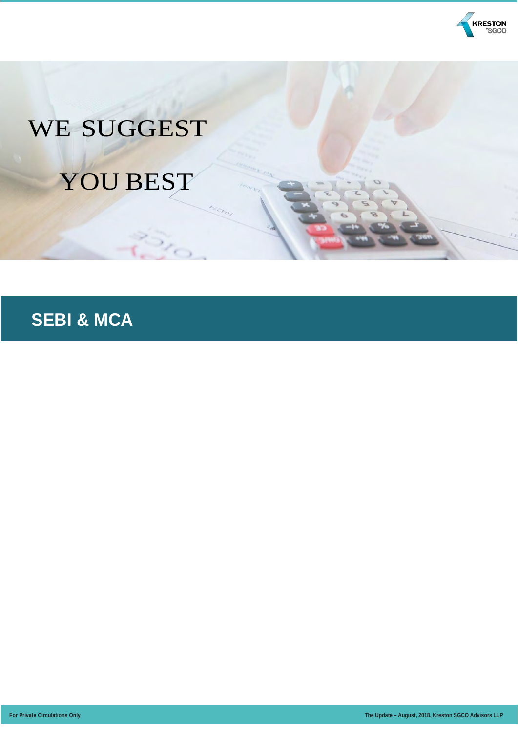

## WE SUGGEST YOU BEST

### **SEBI & MCA**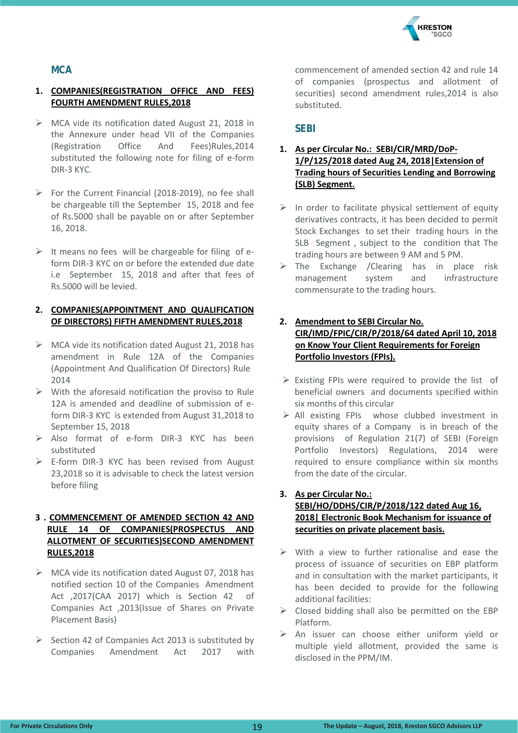

#### **MCA**

#### **1. COMPANIES(REGISTRATION OFFICE AND FEES) FOURTH AMENDMENT RULES,2018**

- MCA vide its notification dated August 21, 2018 in the Annexure under head VII of the Companies (Registration Office And Fees)Rules,2014 substituted the following note for filing of e-form DIR-3 KYC.
- $\triangleright$  For the Current Financial (2018-2019), no fee shall be chargeable till the September 15, 2018 and fee of Rs.5000 shall be payable on or after September 16, 2018.
- $\triangleright$  It means no fees will be chargeable for filing of eform DIR-3 KYC on or before the extended due date i.e September 15, 2018 and after that fees of Rs.5000 will be levied.

#### **2. COMPANIES(APPOINTMENT AND QUALIFICATION OF DIRECTORS) FIFTH AMENDMENT RULES,2018**

- $\triangleright$  MCA vide its notification dated August 21, 2018 has amendment in Rule 12A of the Companies (Appointment And Qualification Of Directors) Rules 2014
- $\triangleright$  With the aforesaid notification the proviso to Rule 12A is amended and deadline of submission of eform DIR-3 KYC is extended from August 31,2018 to September 15, 2018
- Also format of e-form DIR-3 KYC has been substituted
- $\triangleright$  E-form DIR-3 KYC has been revised from August 23,2018 so it is advisable to check the latest version before filing

#### **3 . COMMENCEMENT OF AMENDED SECTION 42 AND RULE 14 OF COMPANIES(PROSPECTUS AND ALLOTMENT OF SECURITIES)SECOND AMENDMENT RULES,2018**

- $\triangleright$  MCA vide its notification dated August 07, 2018 has notified section 10 of the Companies Amendment Act ,2017(CAA 2017) which is Section 42 of Companies Act ,2013(Issue of Shares on Private Placement Basis)
- $\triangleright$  Section 42 of Companies Act 2013 is substituted by Companies Amendment Act 2017 with

commencement of amended section 42 and rule 14 of companies (prospectus and allotment of securities) second amendment rules,2014 is also substituted.

#### **SEBI**

#### **1. As per Circular No.: SEBI/CIR/MRD/DoP-1/P/125/2018 dated Aug 24, 2018|Extension of Trading hours of Securities Lending and Borrowing (SLB) Segment.**

- $\triangleright$  In order to facilitate physical settlement of equity derivatives contracts, it has been decided to permit Stock Exchanges to set their trading hours in the SLB Segment , subject to the condition that The trading hours are between 9 AM and 5 PM.
- The Exchange /Clearing has in place risk management system and infrastructure commensurate to the trading hours.

#### **2. Amendment to SEBI Circular No. CIR/IMD/FPIC/CIR/P/2018/64 dated April 10, 2018 on Know Your Client Requirements for Foreign Portfolio Investors (FPIs).**

- $\triangleright$  Existing FPIs were required to provide the list of beneficial owners and documents specified within six months of this circular
- $\triangleright$  All existing FPIs whose clubbed investment in equity shares of a Company is in breach of the provisions of Regulation 21(7) of SEBI (Foreign Portfolio Investors) Regulations, 2014 were required to ensure compliance within six months from the date of the circular.

#### **3. As per Circular No.: SEBI/HO/DDHS/CIR/P/2018/122 dated Aug 16, 2018| Electronic Book Mechanism for issuance of securities on private placement basis.**

- $\triangleright$  With a view to further rationalise and ease the process of issuance of securities on EBP platform and in consultation with the market participants, it has been decided to provide for the following additional facilities:
- $\triangleright$  Closed bidding shall also be permitted on the EBP Platform.
- $\triangleright$  An issuer can choose either uniform yield or multiple yield allotment, provided the same is disclosed in the PPM/IM.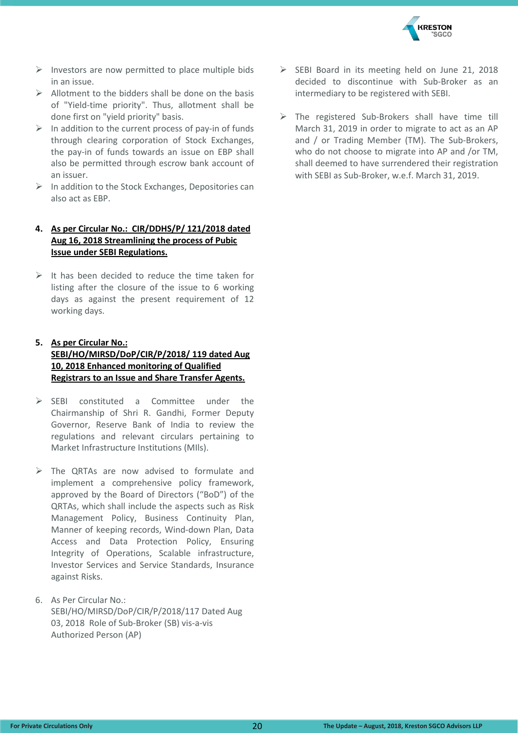

- $\triangleright$  Investors are now permitted to place multiple bids in an issue.
- $\triangleright$  Allotment to the bidders shall be done on the basis of "Yield-time priority". Thus, allotment shall be done first on "yield priority" basis.
- $\triangleright$  In addition to the current process of pay-in of funds through clearing corporation of Stock Exchanges, the pay-in of funds towards an issue on EBP shall also be permitted through escrow bank account of an issuer.
- $\triangleright$  In addition to the Stock Exchanges, Depositories can also act as EBP.

#### **4. As per Circular No.: CIR/DDHS/P/ 121/2018 dated Aug 16, 2018 Streamlining the process of Pubic Issue under SEBI Regulations.**

 $\triangleright$  It has been decided to reduce the time taken for listing after the closure of the issue to 6 working days as against the present requirement of 12 working days.

#### **5. As per Circular No.: SEBI/HO/MIRSD/DoP/CIR/P/2018/ 119 dated Aug 10, 2018 Enhanced monitoring of Qualified Registrars to an Issue and Share Transfer Agents.**

- $\triangleright$  SFBI constituted a Committee under the Chairmanship of Shri R. Gandhi, Former Deputy Governor, Reserve Bank of India to review the regulations and relevant circulars pertaining to Market Infrastructure Institutions (MIls).
- $\triangleright$  The QRTAs are now advised to formulate and implement a comprehensive policy framework, approved by the Board of Directors ("BoD") of the QRTAs, which shall include the aspects such as Risk Management Policy, Business Continuity Plan, Manner of keeping records, Wind-down Plan, Data Access and Data Protection Policy, Ensuring Integrity of Operations, Scalable infrastructure, Investor Services and Service Standards, Insurance against Risks.
- 6. As Per Circular No.: SEBI/HO/MIRSD/DoP/CIR/P/2018/117 Dated Aug 03, 2018 Role of Sub-Broker (SB) vis-a-vis Authorized Person (AP)
- $\triangleright$  SEBI Board in its meeting held on June 21, 2018 decided to discontinue with Sub-Broker as an intermediary to be registered with SEBI.
- $\triangleright$  The registered Sub-Brokers shall have time till March 31, 2019 in order to migrate to act as an AP and / or Trading Member (TM). The Sub-Brokers, who do not choose to migrate into AP and /or TM, shall deemed to have surrendered their registration with SEBI as Sub-Broker, w.e.f. March 31, 2019.

20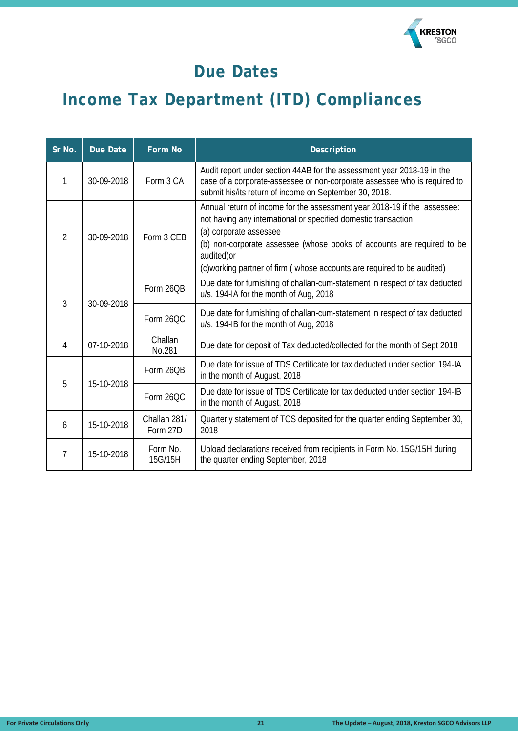

### **Due Dates**

### **Income Tax Department (ITD) Compliances**

| Sr No.                                      | <b>Due Date</b>                                                                                                                            | <b>Form No</b>                                                              | <b>Description</b>                                                                                                                                                                                                                                                                                                                       |  |
|---------------------------------------------|--------------------------------------------------------------------------------------------------------------------------------------------|-----------------------------------------------------------------------------|------------------------------------------------------------------------------------------------------------------------------------------------------------------------------------------------------------------------------------------------------------------------------------------------------------------------------------------|--|
| 1                                           | 30-09-2018                                                                                                                                 | Form 3 CA                                                                   | Audit report under section 44AB for the assessment year 2018-19 in the<br>case of a corporate-assessee or non-corporate assessee who is required to<br>submit his/its return of income on September 30, 2018.                                                                                                                            |  |
| $\overline{2}$                              | 30-09-2018                                                                                                                                 | Form 3 CEB                                                                  | Annual return of income for the assessment year 2018-19 if the assessee:<br>not having any international or specified domestic transaction<br>(a) corporate assessee<br>(b) non-corporate assessee (whose books of accounts are required to be<br>audited) or<br>(c) working partner of firm (whose accounts are required to be audited) |  |
|                                             | Form 26OB<br>u/s. 194-IA for the month of Aug, 2018<br>$\overline{3}$<br>30-09-2018<br>Form 26QC<br>u/s. 194-IB for the month of Aug, 2018 |                                                                             | Due date for furnishing of challan-cum-statement in respect of tax deducted                                                                                                                                                                                                                                                              |  |
|                                             |                                                                                                                                            | Due date for furnishing of challan-cum-statement in respect of tax deducted |                                                                                                                                                                                                                                                                                                                                          |  |
| 4                                           | 07-10-2018                                                                                                                                 | Challan<br>No.281                                                           | Due date for deposit of Tax deducted/collected for the month of Sept 2018                                                                                                                                                                                                                                                                |  |
| 5                                           |                                                                                                                                            | Form 26QB                                                                   | Due date for issue of TDS Certificate for tax deducted under section 194-IA<br>in the month of August, 2018                                                                                                                                                                                                                              |  |
|                                             | 15-10-2018                                                                                                                                 | Form 26QC                                                                   | Due date for issue of TDS Certificate for tax deducted under section 194-IB<br>in the month of August, 2018<br>2018<br>the quarter ending September, 2018                                                                                                                                                                                |  |
| Challan 281/<br>15-10-2018<br>6<br>Form 27D |                                                                                                                                            |                                                                             | Quarterly statement of TCS deposited for the quarter ending September 30,                                                                                                                                                                                                                                                                |  |
| $\overline{7}$                              | 15-10-2018                                                                                                                                 | Form No.<br>15G/15H                                                         | Upload declarations received from recipients in Form No. 15G/15H during                                                                                                                                                                                                                                                                  |  |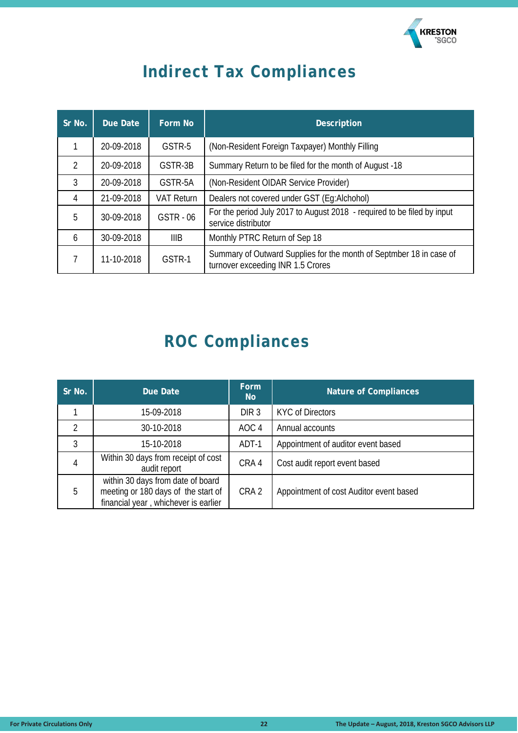

### **Indirect Tax Compliances**

| Sr No.         | Due Date   | Form No           | <b>Description</b>                                                                                       |  |
|----------------|------------|-------------------|----------------------------------------------------------------------------------------------------------|--|
|                | 20-09-2018 | GSTR-5            | (Non-Resident Foreign Taxpayer) Monthly Filling                                                          |  |
| $\mathfrak{D}$ | 20-09-2018 | GSTR-3B           | Summary Return to be filed for the month of August -18                                                   |  |
| 3              | 20-09-2018 | GSTR-5A           | (Non-Resident OIDAR Service Provider)                                                                    |  |
| 4              | 21-09-2018 | <b>VAT Return</b> | Dealers not covered under GST (Eq:Alchohol)                                                              |  |
| 5              | 30-09-2018 | <b>GSTR - 06</b>  | For the period July 2017 to August 2018 - required to be filed by input<br>service distributor           |  |
| 6              | 30-09-2018 | IIIB              | Monthly PTRC Return of Sep 18                                                                            |  |
|                | 11-10-2018 | GSTR-1            | Summary of Outward Supplies for the month of Septmber 18 in case of<br>turnover exceeding INR 1.5 Crores |  |

### **ROC Compliances**

| Sr No. | Due Date                                                                                                         | <b>Form</b><br><b>No</b> | <b>Nature of Compliances</b>            |
|--------|------------------------------------------------------------------------------------------------------------------|--------------------------|-----------------------------------------|
|        | 15-09-2018                                                                                                       | DIR <sub>3</sub>         | <b>KYC of Directors</b>                 |
| 2      | 30-10-2018                                                                                                       | AOC <sub>4</sub>         | Annual accounts                         |
| 3      | 15-10-2018                                                                                                       | ADT-1                    | Appointment of auditor event based      |
| 4      | Within 30 days from receipt of cost<br>audit report                                                              | CRA 4                    | Cost audit report event based           |
| 5      | within 30 days from date of board<br>meeting or 180 days of the start of<br>financial year, whichever is earlier | CRA <sub>2</sub>         | Appointment of cost Auditor event based |